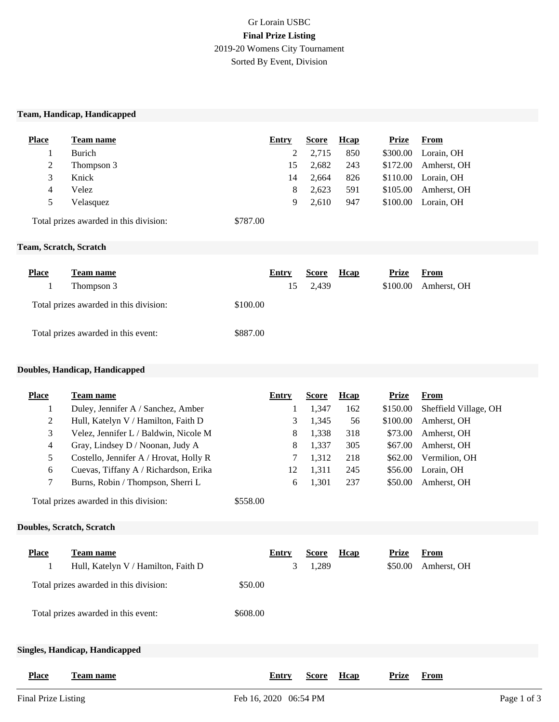# Gr Lorain USBC **Final Prize Listing** 2019-20 Womens City Tournament Sorted By Event, Division

#### **Team, Handicap, Handicapped**

| <b>Place</b> | Team name  | Entry | <b>Score</b> | Hcap | Prize    | From                |
|--------------|------------|-------|--------------|------|----------|---------------------|
|              | Burich     |       | 2,715        | 850  | \$300.00 | Lorain, OH          |
| 2            | Thompson 3 | 15    | 2.682        | 243  | \$172.00 | Amherst, OH         |
| 3            | Knick      | 14    | 2.664        | 826  |          | \$110.00 Lorain, OH |
| 4            | Velez      | 8     | 2,623        | 591  | \$105.00 | Amherst, OH         |
| 5            | Velasquez  | 9     | 2.610        | 947  | \$100.00 | Lorain, OH          |
|              |            |       |              |      |          |                     |

Total prizes awarded in this division: \$787.00

#### **Team, Scratch, Scratch**

| <b>Place</b> | Team name                              |          | Entry | <b>Score</b> | <b>H</b> cap | Prize    | From        |
|--------------|----------------------------------------|----------|-------|--------------|--------------|----------|-------------|
|              | Thompson 3                             |          | 15    | 2,439        |              | \$100.00 | Amherst, OH |
|              | Total prizes awarded in this division: | \$100.00 |       |              |              |          |             |
|              | Total prizes awarded in this event:    | \$887.00 |       |              |              |          |             |

#### **Doubles, Handicap, Handicapped**

| <b>Place</b> | <b>Team name</b>                                   | Entry | <b>Score</b> | <b>H</b> cap | <b>Prize</b> | From                  |
|--------------|----------------------------------------------------|-------|--------------|--------------|--------------|-----------------------|
|              | Duley, Jennifer A / Sanchez, Amber                 |       | 1,347        | 162          | \$150.00     | Sheffield Village, OH |
| 2            | Hull, Katelyn V / Hamilton, Faith D                | 3     | 1,345        | 56           | \$100.00     | Amherst, OH           |
| 3            | Velez, Jennifer L / Baldwin, Nicole M              | 8     | 1,338        | 318          | \$73.00      | Amherst, OH           |
| 4            | Gray, Lindsey D / Noonan, Judy A                   | 8     | 1,337        | 305          | \$67.00      | Amherst, OH           |
| 5            | Costello, Jennifer A / Hrovat, Holly R             |       | 1,312        | 218          | \$62.00      | Vermilion, OH         |
| 6            | Cuevas, Tiffany A / Richardson, Erika              | 12    | 1,311        | 245          | \$56.00      | Lorain, OH            |
| 7            | Burns, Robin / Thompson, Sherri L                  | 6     | 1,301        | 237          | \$50.00      | Amherst, OH           |
|              | Total prizes awarded in this division:<br>\$558.00 |       |              |              |              |                       |

#### **Doubles, Scratch, Scratch**

| <b>Place</b> | Team name<br>Hull, Katelyn V / Hamilton, Faith D |          | Entry | <b>Score</b><br>1,289 | Hcap | Prize<br>\$50.00 | <b>From</b><br>Amherst, OH |
|--------------|--------------------------------------------------|----------|-------|-----------------------|------|------------------|----------------------------|
|              | Total prizes awarded in this division:           | \$50.00  |       |                       |      |                  |                            |
|              | Total prizes awarded in this event:              | \$608.00 |       |                       |      |                  |                            |
|              | Singles, Handicap, Handicapped                   |          |       |                       |      |                  |                            |

**Place Team name Entry Entry Entry Entry Entry Prize Prize From** 

**Hcap**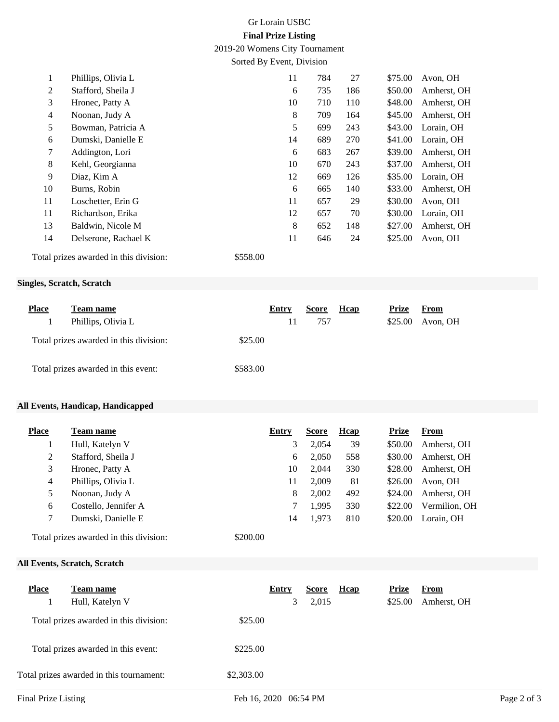# Gr Lorain USBC **Final Prize Listing**

2019-20 Womens City Tournament

Sorted By Event, Division

| 1              | Phillips, Olivia L                     |          | 11 | 784 | 27  | \$75.00 | Avon, OH    |
|----------------|----------------------------------------|----------|----|-----|-----|---------|-------------|
| 2              | Stafford, Sheila J                     |          | 6  | 735 | 186 | \$50.00 | Amherst, OH |
| 3              | Hronec, Patty A                        |          | 10 | 710 | 110 | \$48.00 | Amherst, OH |
| $\overline{4}$ | Noonan, Judy A                         |          | 8  | 709 | 164 | \$45.00 | Amherst, OH |
| 5              | Bowman, Patricia A                     |          | 5  | 699 | 243 | \$43.00 | Lorain, OH  |
| 6              | Dumski, Danielle E                     |          | 14 | 689 | 270 | \$41.00 | Lorain, OH  |
| 7              | Addington, Lori                        |          | 6  | 683 | 267 | \$39.00 | Amherst, OH |
| 8              | Kehl, Georgianna                       |          | 10 | 670 | 243 | \$37.00 | Amherst, OH |
| 9              | Diaz, Kim A                            |          | 12 | 669 | 126 | \$35.00 | Lorain, OH  |
| 10             | Burns, Robin                           |          | 6  | 665 | 140 | \$33.00 | Amherst, OH |
| 11             | Loschetter, Erin G                     |          | 11 | 657 | 29  | \$30.00 | Avon, OH    |
| 11             | Richardson, Erika                      |          | 12 | 657 | 70  | \$30.00 | Lorain, OH  |
| 13             | Baldwin, Nicole M                      |          | 8  | 652 | 148 | \$27.00 | Amherst, OH |
| 14             | Delserone, Rachael K                   |          | 11 | 646 | 24  | \$25.00 | Avon, OH    |
|                | Total prizes awarded in this division: | \$558.00 |    |     |     |         |             |

### **Singles, Scratch, Scratch**

| <b>Place</b> | Team name                                         | Entry<br>$\mathbf{L}$ | Score<br>757 | <b>H</b> cap | Prize<br>\$25.00 | From<br>Avon, OH |
|--------------|---------------------------------------------------|-----------------------|--------------|--------------|------------------|------------------|
|              | Phillips, Olivia L                                |                       |              |              |                  |                  |
|              | \$25.00<br>Total prizes awarded in this division: |                       |              |              |                  |                  |
|              | \$583.00<br>Total prizes awarded in this event:   |                       |              |              |                  |                  |

### **All Events, Handicap, Handicapped**

| <b>Place</b> | Team name            | Entry | <b>Score</b> | <b>H</b> cap | <b>Prize</b> | From          |
|--------------|----------------------|-------|--------------|--------------|--------------|---------------|
|              | Hull, Katelyn V      | 3     | 2,054        | 39           | \$50.00      | Amherst, OH   |
| 2            | Stafford, Sheila J   | 6     | 2,050        | 558          | \$30.00      | Amherst, OH   |
| 3            | Hronec, Patty A      | 10    | 2,044        | 330          | \$28.00      | Amherst, OH   |
| 4            | Phillips, Olivia L   | 11    | 2.009        | 81           | \$26.00      | Avon, OH      |
| 5            | Noonan, Judy A       | 8     | 2,002        | 492          | \$24.00      | Amherst, OH   |
| 6            | Costello, Jennifer A |       | 1.995        | 330          | \$22.00      | Vermilion, OH |
|              | Dumski, Danielle E   | 14    | 1,973        | 810          | \$20.00      | Lorain. OH    |
|              |                      |       |              |              |              |               |

Total prizes awarded in this division: \$200.00

## **All Events, Scratch, Scratch**

| <b>Place</b> | Team name<br>Hull, Katelyn V             | Entry      | 3 | Score<br>2,015 | <b>H</b> cap | <b>Prize</b><br>\$25.00 | From<br>Amherst, OH |
|--------------|------------------------------------------|------------|---|----------------|--------------|-------------------------|---------------------|
|              | Total prizes awarded in this division:   | \$25.00    |   |                |              |                         |                     |
|              | Total prizes awarded in this event:      | \$225.00   |   |                |              |                         |                     |
|              | Total prizes awarded in this tournament: | \$2,303.00 |   |                |              |                         |                     |